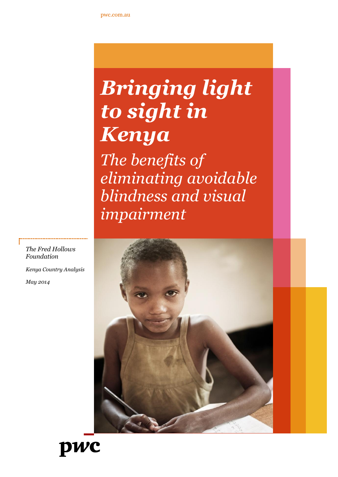# *Bringing light to sight in Kenya*

*The benefits of eliminating avoidable blindness and visual impairment*





*The Fred Hollows Foundation*

*Kenya Country Analysis*

*May 2014*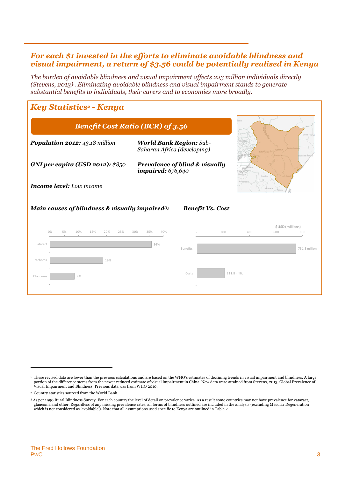## *For each \$1 invested in the efforts to eliminate avoidable blindness and visual impairment, a return of \$3.56 could be potentially realised in Kenya*

*The burden of avoidable blindness and visual impairment affects 223 million individuals directly (Stevens, 2013)1. Eliminating avoidable blindness and visual impairment stands to generate substantial benefits to individuals, their carers and to economies more broadly.*

# *Key Statistics<sup>2</sup> - Kenya*

| <b>Benefit Cost Ratio (BCR) of 3.56</b>                     |                                                               |                         |     |               |                         | Gedo          |  |
|-------------------------------------------------------------|---------------------------------------------------------------|-------------------------|-----|---------------|-------------------------|---------------|--|
| <b>Population 2012: 43.18 million</b>                       | <b>World Bank Region: Sub-</b><br>Saharan Africa (developing) |                         |     |               | <b>Rift Valley</b>      | 50<br>bbada H |  |
| <b>GNI per capita (USD 2012): \$850</b>                     | Prevalence of blind & visually<br><i>impaired:</i> 676,640    |                         |     |               | Arusha                  |               |  |
| <b>Income level:</b> Low income<br>Manyara                  |                                                               |                         |     |               |                         |               |  |
| Main causes of blindness & visually impaired <sup>3</sup> : |                                                               | <b>Benefit Vs. Cost</b> |     |               |                         |               |  |
| 0%<br>5%<br>10%<br>15%<br>20%<br>25%                        | 40%<br>30%<br>35%                                             |                         | 200 | 400           | \$USD (millions)<br>600 | 800           |  |
| Cataract                                                    | 36%                                                           | Benefits                |     |               |                         | 751.5 million |  |
| Trachoma<br>19%                                             |                                                               |                         |     |               |                         |               |  |
| Glaucoma<br>9%                                              |                                                               | Costs                   |     | 211.8 million |                         |               |  |

<sup>&</sup>lt;sup>1</sup> These revised data are lower than the previous calculations and are based on the WHO's estimates of declining trends in visual impairment and blindness. A large portion of the difference stems from the newer reduced estimate of visual impairment in China. New data were attained from Stevens, 2013, Global Prevalence of Visual Impairment and Blindness. Previous data was from WHO 2010.

<sup>2</sup> Country statistics sourced from the World Bank.

<sup>&</sup>lt;sup>3</sup> As per 1990 Rural Blindness Survey. For each country the level of detail on prevalence varies. As a result some countries may not have prevalence for cataract,<br>glaucoma and other. Regardless of any missing prevalence r which is not considered as 'avoidable'). Note that all assumptions used specific to Kenya are outlined in Table 2.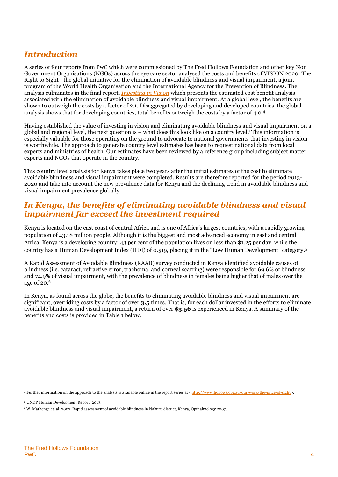# *Introduction*

A series of four reports from PwC which were commissioned by The Fred Hollows Foundation and other key Non Government Organisations (NGOs) across the eye care sector analysed the costs and benefits of VISION 2020: The Right to Sight - the global initiative for the elimination of avoidable blindness and visual impairment, a joint program of the World Health Organisation and the International Agency for the Prevention of Blindness. The analysis culminates in the final report, *[Investing in Vision](http://www.hollows.org.au/our-work/the-price-of-sight)* which presents the estimated cost benefit analysis associated with the elimination of avoidable blindness and visual impairment. At a global level, the benefits are shown to outweigh the costs by a factor of 2.1. Disaggregated by developing and developed countries, the global analysis shows that for developing countries, total benefits outweigh the costs by a factor of 4.0. 4

Having established the value of investing in vision and eliminating avoidable blindness and visual impairment on a global and regional level, the next question is – what does this look like on a country level? This information is especially valuable for those operating on the ground to advocate to national governments that investing in vision is worthwhile. The approach to generate country level estimates has been to request national data from local experts and ministries of health. Our estimates have been reviewed by a reference group including subject matter experts and NGOs that operate in the country.

This country level analysis for Kenya takes place two years after the initial estimates of the cost to eliminate avoidable blindness and visual impairment were completed. Results are therefore reported for the period 2013- 2020 and take into account the new prevalence data for Kenya and the declining trend in avoidable blindness and visual impairment prevalence globally.

# *In Kenya, the benefits of eliminating avoidable blindness and visual impairment far exceed the investment required*

Kenya is located on the east coast of central Africa and is one of Africa's largest countries, with a rapidly growing population of 43.18 million people. Although it is the biggest and most advanced economy in east and central Africa, Kenya is a developing country: 43 per cent of the population lives on less than \$1.25 per day, while the country has a Human Development Index (HDI) of 0.519, placing it in the "Low Human Development" category. 5

A Rapid Assessment of Avoidable Blindness (RAAB) survey conducted in Kenya identified avoidable causes of blindness (i.e. cataract, refractive error, trachoma, and corneal scarring) were responsible for 69.6% of blindness and 74.9% of visual impairment, with the prevalence of blindness in females being higher that of males over the age of 20.<sup>6</sup>

In Kenya, as found across the globe, the benefits to eliminating avoidable blindness and visual impairment are significant, overriding costs by a factor of over **3.5** times. That is, for each dollar invested in the efforts to eliminate avoidable blindness and visual impairment, a return of over **\$3.56** is experienced in Kenya. A summary of the benefits and costs is provided in Table 1 below.

<sup>4</sup> Further information on the approach to the analysis is available online in the report series at [<http://www.hollows.org.au/our-work/the-price-of-sight>](http://www.hollows.org.au/our-work/the-price-of-sight).

<sup>5</sup> UNDP Human Development Report, 2013.

<sup>6</sup> W. Mathenge et. al. 2007, Rapid assessment of avoidable blindness in Nakuru district, Kenya, Opthalmology 2007.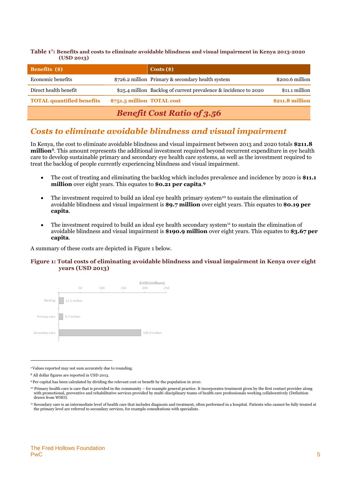**Table 1 7 : Benefits and costs to eliminate avoidable blindness and visual impairment in Kenya 2013-2020 (USD 2013)**

| <b>Benefits</b> (\$)             |                            | $\text{Costs}(\text{\$})$                                        |                 |
|----------------------------------|----------------------------|------------------------------------------------------------------|-----------------|
| Economic benefits                |                            | \$726.2 million Primary & secondary health system                | \$200.6 million |
| Direct health benefit            |                            | \$25.4 million Backlog of current prevalence & incidence to 2020 | \$11.1 million  |
| <b>TOTAL quantified benefits</b> | \$751.5 million TOTAL cost |                                                                  | \$211.8 million |
|                                  |                            | <b>Benefit Cost Ratio of 3.56</b>                                |                 |

# *Costs to eliminate avoidable blindness and visual impairment*

In Kenya, the cost to eliminate avoidable blindness and visual impairment between 2013 and 2020 totals **\$211.8 million**<sup>8</sup>. This amount represents the additional investment required beyond recurrent expenditure in eye health care to develop sustainable primary and secondary eye health care systems, as well as the investment required to treat the backlog of people currently experiencing blindness and visual impairment.

- The cost of treating and eliminating the backlog which includes prevalence and incidence by 2020 is **\$11.1 million** over eight years. This equates to **\$0.21 per capita**. **9**
- The investment required to build an ideal eye health primary system<sup>10</sup> to sustain the elimination of avoidable blindness and visual impairment is **\$9.7 million** over eight years. This equates to **\$0.19 per capita**.
- The investment required to build an ideal eye health secondary system<sup>11</sup> to sustain the elimination of avoidable blindness and visual impairment is **\$190.9 million** over eight years. This equates to **\$3.67 per capita**.

A summary of these costs are depicted in [Figure 1](#page-4-0) below.

#### <span id="page-4-0"></span>**Figure 1: Total costs of eliminating avoidable blindness and visual impairment in Kenya over eight years (USD 2013)**



<sup>7</sup>Values reported may not sum accurately due to rounding.

<sup>8</sup> All dollar figures are reported in USD 2013.

<sup>9</sup> Per capital has been calculated by dividing the relevant cost or benefit by the population in 2010.

 $10$  Primary health care is care that is provided in the community – for example general practice. It incorporates treatment given by the first contact provider along with promotional, preventive and rehabilitative services provided by multi-disciplinary teams of health care professionals working collaboratively (Definition drawn from WHO).

<sup>11</sup> Secondary care is an intermediate level of health care that includes diagnosis and treatment, often performed in a hospital. Patients who cannot be fully treated at the primary level are referred to secondary services, for example consultations with specialists.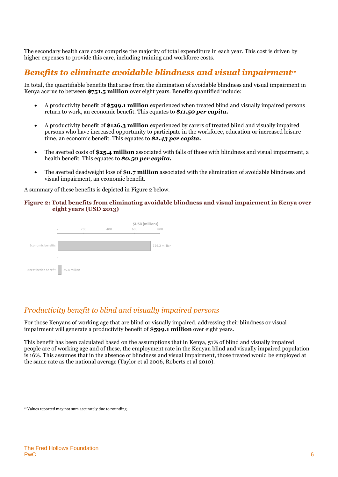The secondary health care costs comprise the majority of total expenditure in each year. This cost is driven by higher expenses to provide this care, including training and workforce costs.

# *Benefits to eliminate avoidable blindness and visual impairment<sup>12</sup>*

In total, the quantifiable benefits that arise from the elimination of avoidable blindness and visual impairment in Kenya accrue to between **\$751.5 million** over eight years. Benefits quantified include:

- A productivity benefit of **\$599.1 million** experienced when treated blind and visually impaired persons return to work, an economic benefit. This equates to *\$11.50 per capita.*
- A productivity benefit of **\$126.3 million** experienced by carers of treated blind and visually impaired persons who have increased opportunity to participate in the workforce, education or increased leisure time, an economic benefit. This equates to *\$2.43 per capita.*
- The averted costs of **\$25.4 million** associated with falls of those with blindness and visual impairment, a health benefit. This equates to *\$0.50 per capita.*
- The averted deadweight loss of **\$0.7 million** associated with the elimination of avoidable blindness and visual impairment, an economic benefit.

A summary of these benefits is depicted in [Figure 2](#page-5-0) below.

#### <span id="page-5-0"></span>**Figure 2: Total benefits from eliminating avoidable blindness and visual impairment in Kenya over eight years (USD 2013)**



## *Productivity benefit to blind and visually impaired persons*

For those Kenyans of working age that are blind or visually impaired, addressing their blindness or visual impairment will generate a productivity benefit of **\$599.1 million** over eight years.

This benefit has been calculated based on the assumptions that in Kenya, 51% of blind and visually impaired people are of working age and of these, the employment rate in the Kenyan blind and visually impaired population is 16%. This assumes that in the absence of blindness and visual impairment, those treated would be employed at the same rate as the national average (Taylor et al 2006, Roberts et al 2010).

<sup>12</sup>Values reported may not sum accurately due to rounding.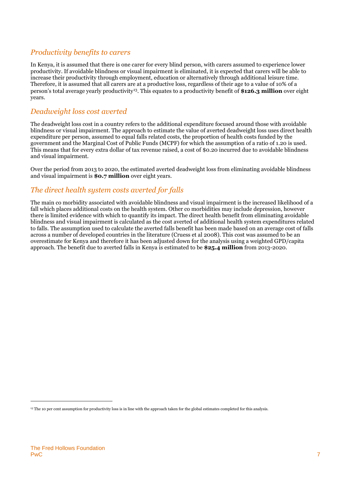## *Productivity benefits to carers*

In Kenya, it is assumed that there is one carer for every blind person, with carers assumed to experience lower productivity. If avoidable blindness or visual impairment is eliminated, it is expected that carers will be able to increase their productivity through employment, education or alternatively through additional leisure time. Therefore, it is assumed that all carers are at a productive loss, regardless of their age to a value of 10% of a person's total average yearly productivity<sup>13</sup>. This equates to a productivity benefit of **\$126.3 million** over eight years.

### *Deadweight loss cost averted*

The deadweight loss cost in a country refers to the additional expenditure focused around those with avoidable blindness or visual impairment. The approach to estimate the value of averted deadweight loss uses direct health expenditure per person, assumed to equal falls related costs, the proportion of health costs funded by the government and the Marginal Cost of Public Funds (MCPF) for which the assumption of a ratio of 1.20 is used. This means that for every extra dollar of tax revenue raised, a cost of \$0.20 incurred due to avoidable blindness and visual impairment.

Over the period from 2013 to 2020, the estimated averted deadweight loss from eliminating avoidable blindness and visual impairment is **\$0.7 million** over eight years.

## *The direct health system costs averted for falls*

The main co morbidity associated with avoidable blindness and visual impairment is the increased likelihood of a fall which places additional costs on the health system. Other co morbidities may include depression, however there is limited evidence with which to quantify its impact. The direct health benefit from eliminating avoidable blindness and visual impairment is calculated as the cost averted of additional health system expenditures related to falls. The assumption used to calculate the averted falls benefit has been made based on an average cost of falls across a number of developed countries in the literature (Cruess et al 2008). This cost was assumed to be an overestimate for Kenya and therefore it has been adjusted down for the analysis using a weighted GPD/capita approach. The benefit due to averted falls in Kenya is estimated to be **\$25.4 million** from 2013-2020.

<sup>&</sup>lt;sup>13</sup> The 10 per cent assumption for productivity loss is in line with the approach taken for the global estimates completed for this analysis.